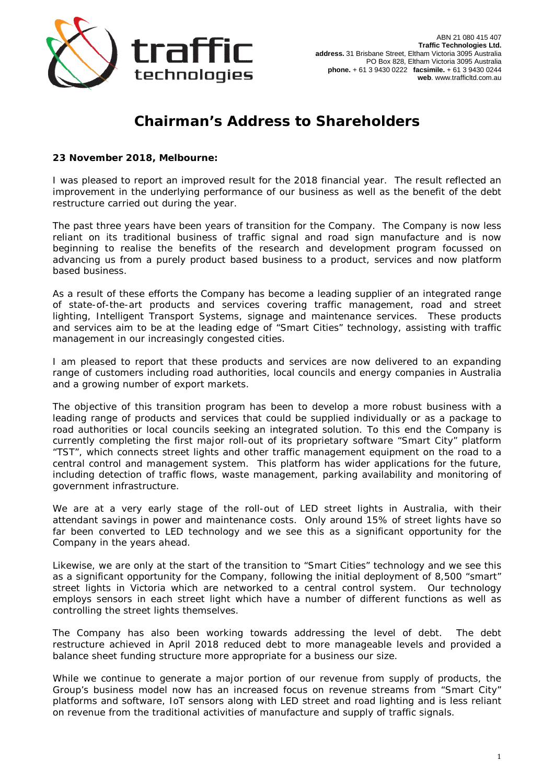

## **Chairman's Address to Shareholders**

**23 November 2018, Melbourne:** 

I was pleased to report an improved result for the 2018 financial year. The result reflected an improvement in the underlying performance of our business as well as the benefit of the debt restructure carried out during the year.

The past three years have been years of transition for the Company. The Company is now less reliant on its traditional business of traffic signal and road sign manufacture and is now beginning to realise the benefits of the research and development program focussed on advancing us from a purely product based business to a product, services and now platform based business.

As a result of these efforts the Company has become a leading supplier of an integrated range of state-of-the-art products and services covering traffic management, road and street lighting, Intelligent Transport Systems, signage and maintenance services. These products and services aim to be at the leading edge of "Smart Cities" technology, assisting with traffic management in our increasingly congested cities.

I am pleased to report that these products and services are now delivered to an expanding range of customers including road authorities, local councils and energy companies in Australia and a growing number of export markets.

The objective of this transition program has been to develop a more robust business with a leading range of products and services that could be supplied individually or as a package to road authorities or local councils seeking an integrated solution. To this end the Company is currently completing the first major roll-out of its proprietary software "Smart City" platform "TST", which connects street lights and other traffic management equipment on the road to a central control and management system. This platform has wider applications for the future, including detection of traffic flows, waste management, parking availability and monitoring of government infrastructure.

We are at a very early stage of the roll-out of LED street lights in Australia, with their attendant savings in power and maintenance costs. Only around 15% of street lights have so far been converted to LED technology and we see this as a significant opportunity for the Company in the years ahead.

Likewise, we are only at the start of the transition to "Smart Cities" technology and we see this as a significant opportunity for the Company, following the initial deployment of 8,500 "smart" street lights in Victoria which are networked to a central control system. Our technology employs sensors in each street light which have a number of different functions as well as controlling the street lights themselves.

The Company has also been working towards addressing the level of debt. The debt restructure achieved in April 2018 reduced debt to more manageable levels and provided a balance sheet funding structure more appropriate for a business our size.

While we continue to generate a major portion of our revenue from supply of products, the Group's business model now has an increased focus on revenue streams from "Smart City" platforms and software, IoT sensors along with LED street and road lighting and is less reliant on revenue from the traditional activities of manufacture and supply of traffic signals.